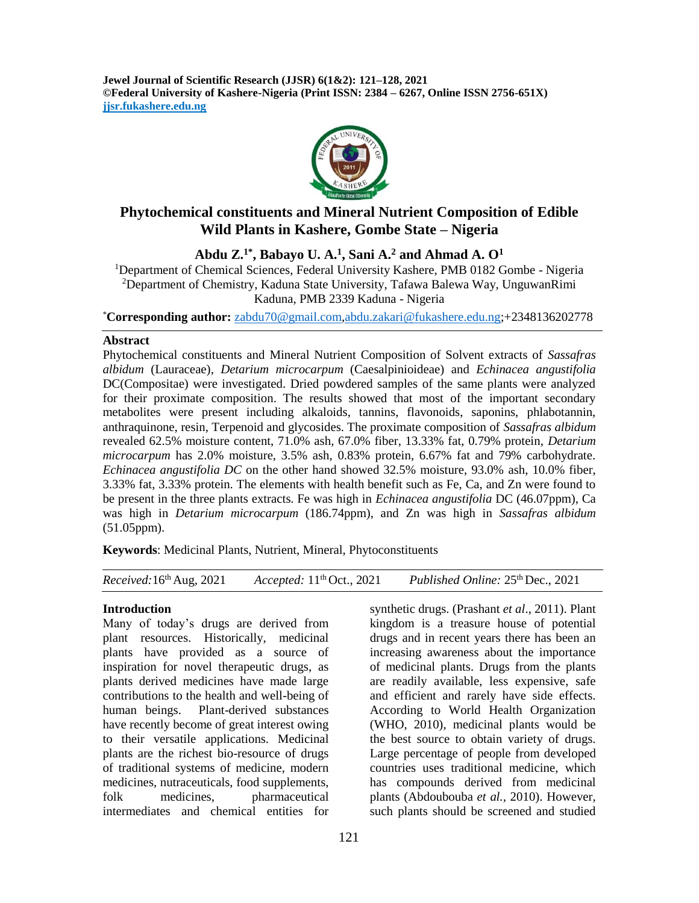**Jewel Journal of Scientific Research (JJSR) 6(1&2): 121–128, 2021 ©Federal University of Kashere-Nigeria (Print ISSN: 2384 – 6267, Online ISSN 2756-651X) jjsr.fukashere.edu.ng**



# **Phytochemical constituents and Mineral Nutrient Composition of Edible Wild Plants in Kashere, Gombe State – Nigeria**

**Abdu Z.1\*, Babayo U. A.<sup>1</sup> , Sani A.<sup>2</sup> and Ahmad A. O<sup>1</sup>**

<sup>1</sup>Department of Chemical Sciences, Federal University Kashere, PMB 0182 Gombe - Nigeria <sup>2</sup>Department of Chemistry, Kaduna State University, Tafawa Balewa Way, UnguwanRimi Kaduna, PMB 2339 Kaduna - Nigeria

\***Corresponding author:** [zabdu70@gmail.com,](mailto:zabdu70@gmail.com)[abdu.zakari@fukashere.edu.ng;](mailto:abdu.zakari@fukashere.edu.ng)+2348136202778

#### **Abstract**

Phytochemical constituents and Mineral Nutrient Composition of Solvent extracts of *Sassafras albidum* (Lauraceae)*, Detarium microcarpum* (Caesalpinioideae) and *Echinacea angustifolia*  DC(Compositae) were investigated. Dried powdered samples of the same plants were analyzed for their proximate composition. The results showed that most of the important secondary metabolites were present including alkaloids, tannins, flavonoids, saponins, phlabotannin, anthraquinone, resin, Terpenoid and glycosides. The proximate composition of *Sassafras albidum* revealed 62.5% moisture content, 71.0% ash, 67.0% fiber, 13.33% fat, 0.79% protein, *Detarium microcarpum* has 2.0% moisture, 3.5% ash, 0.83% protein, 6.67% fat and 79% carbohydrate. *Echinacea angustifolia DC* on the other hand showed 32.5% moisture, 93.0% ash, 10.0% fiber, 3.33% fat, 3.33% protein. The elements with health benefit such as Fe, Ca, and Zn were found to be present in the three plants extracts. Fe was high in *Echinacea angustifolia* DC (46.07ppm), Ca was high in *Detarium microcarpum* (186.74ppm), and Zn was high in *Sassafras albidum* (51.05ppm).

**Keywords**: Medicinal Plants, Nutrient, Mineral, Phytoconstituents

*Received:*16 Accepted: 11<sup>th</sup> Oct., 2021 th Oct., 2021 *Published Online:* 25 th Dec., 2021

#### **Introduction**

Many of today's drugs are derived from plant resources. Historically, medicinal plants have provided as a source of inspiration for novel therapeutic drugs, as plants derived medicines have made large contributions to the health and well-being of human beings. Plant-derived substances have recently become of great interest owing to their versatile applications. Medicinal plants are the richest bio-resource of drugs of traditional systems of medicine, modern medicines, nutraceuticals, food supplements, folk medicines, pharmaceutical intermediates and chemical entities for

synthetic drugs. (Prashant *et al*., 2011). Plant kingdom is a treasure house of potential drugs and in recent years there has been an increasing awareness about the importance of medicinal plants. Drugs from the plants are readily available, less expensive, safe and efficient and rarely have side effects. According to World Health Organization (WHO, 2010), medicinal plants would be the best source to obtain variety of drugs. Large percentage of people from developed countries uses traditional medicine, which has compounds derived from medicinal plants (Abdoubouba *et al.,* 2010). However, such plants should be screened and studied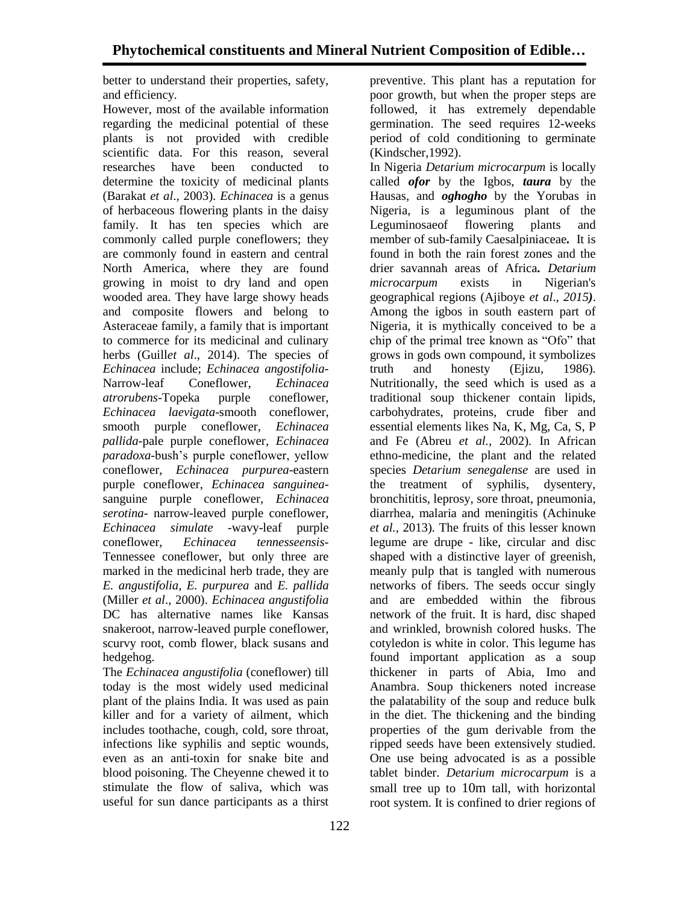better to understand their properties, safety, and efficiency*.*

However, most of the available information regarding the medicinal potential of these plants is not provided with credible scientific data. For this reason, several researches have been conducted to determine the toxicity of medicinal plants (Barakat *et al*., 2003). *Echinacea* is a genus of herbaceous flowering plants in the daisy family. It has ten species which are commonly called purple coneflowers; they are commonly found in eastern and central North America, where they are found growing in moist to dry land and open wooded area. They have large showy heads and composite flowers and belong to Asteraceae family, a family that is important to commerce for its medicinal and culinary herbs (Guill*et al*., 2014). The species of *Echinacea* include; *Echinacea angostifolia-*Narrow-leaf Coneflower, *Echinacea atrorubens-*Topeka purple coneflower, *Echinacea laevigata*-smooth coneflower, smooth purple coneflower, *Echinacea pallida-*pale purple coneflower, *Echinacea paradoxa*-bush's purple coneflower, yellow coneflower, *Echinacea purpurea-*eastern purple coneflower, *Echinacea sanguinea*sanguine purple coneflower, *Echinacea serotina-* narrow-leaved purple coneflower, *Echinacea simulate -*wavy-leaf purple coneflower, *Echinacea tennesseensis-*Tennessee coneflower, but only three are marked in the medicinal herb trade, they are *E. angustifolia, E. purpurea* and *E. pallida*  (Miller *et al*., 2000). *Echinacea angustifolia* DC has alternative names like Kansas snakeroot, narrow-leaved purple coneflower, scurvy root, comb flower, black susans and hedgehog.

The *Echinacea angustifolia* (coneflower) till today is the most widely used medicinal plant of the plains India*.* It was used as pain killer and for a variety of ailment, which includes toothache, cough, cold, sore throat, infections like syphilis and septic wounds, even as an anti-toxin for snake bite and blood poisoning. The Cheyenne chewed it to stimulate the flow of saliva, which was useful for sun dance participants as a thirst

preventive. This plant has a reputation for poor growth, but when the proper steps are followed, it has extremely dependable germination. The seed requires 12-weeks period of cold conditioning to germinate (Kindscher,1992).

In Nigeria *Detarium microcarpum* is locally called *ofor* by the Igbos, *taura* by the Hausas, and *oghogho* by the Yorubas in Nigeria, is a leguminous plant of the Leguminosaeof flowering plants and member of sub-family Caesalpiniaceae*.* It is found in both the rain forest zones and the drier savannah areas of Africa*. Detarium microcarpum* exists in Nigerian's geographical regions (Ajiboye *et al*.*, 2015)*. Among the igbos in south eastern part of Nigeria, it is mythically conceived to be a chip of the primal tree known as "Ofo" that grows in gods own compound, it symbolizes truth and honesty (Ejizu*,* 1986)*.* Nutritionally, the seed which is used as a traditional soup thickener contain lipids, carbohydrates, proteins, crude fiber and essential elements likes Na, K, Mg, Ca, S, P and Fe (Abreu *et al.,* 2002)*.* In African ethno-medicine, the plant and the related species *Detarium senegalense* are used in the treatment of syphilis, dysentery, bronchititis, leprosy, sore throat, pneumonia, diarrhea, malaria and meningitis (Achinuke *et al.,* 2013)*.* The fruits of this lesser known legume are drupe - like, circular and disc shaped with a distinctive layer of greenish, meanly pulp that is tangled with numerous networks of fibers. The seeds occur singly and are embedded within the fibrous network of the fruit. It is hard, disc shaped and wrinkled, brownish colored husks. The cotyledon is white in color. This legume has found important application as a soup thickener in parts of Abia, Imo and Anambra. Soup thickeners noted increase the palatability of the soup and reduce bulk in the diet. The thickening and the binding properties of the gum derivable from the ripped seeds have been extensively studied. One use being advocated is as a possible tablet binder. *Detarium microcarpum* is a small tree up to 10m tall, with horizontal root system. It is confined to drier regions of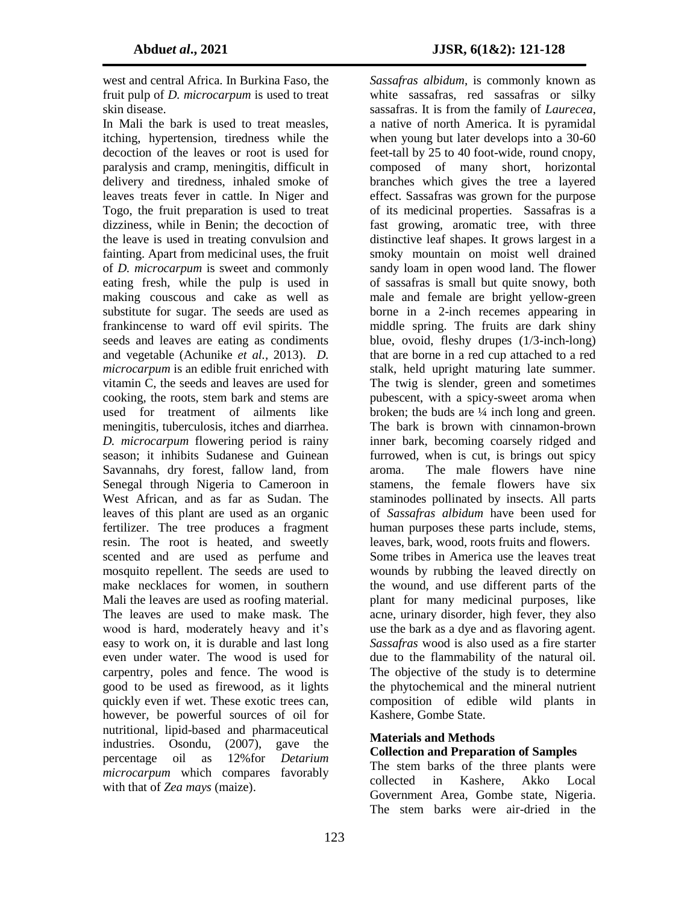west and central Africa*.* In Burkina Faso, the fruit pulp of *D. microcarpum* is used to treat skin disease.

In Mali the bark is used to treat measles, itching, hypertension, tiredness while the decoction of the leaves or root is used for paralysis and cramp, meningitis, difficult in delivery and tiredness, inhaled smoke of leaves treats fever in cattle. In Niger and Togo, the fruit preparation is used to treat dizziness, while in Benin; the decoction of the leave is used in treating convulsion and fainting. Apart from medicinal uses, the fruit of *D. microcarpum* is sweet and commonly eating fresh, while the pulp is used in making couscous and cake as well as substitute for sugar. The seeds are used as frankincense to ward off evil spirits. The seeds and leaves are eating as condiments and vegetable (Achunike *et al.,* 2013). *D. microcarpum* is an edible fruit enriched with vitamin C, the seeds and leaves are used for cooking, the roots, stem bark and stems are used for treatment of ailments like meningitis, tuberculosis, itches and diarrhea. *D. microcarpum* flowering period is rainy season; it inhibits Sudanese and Guinean Savannahs, dry forest, fallow land, from Senegal through Nigeria to Cameroon in West African, and as far as Sudan. The leaves of this plant are used as an organic fertilizer. The tree produces a fragment resin. The root is heated, and sweetly scented and are used as perfume and mosquito repellent. The seeds are used to make necklaces for women, in southern Mali the leaves are used as roofing material. The leaves are used to make mask. The wood is hard, moderately heavy and it's easy to work on, it is durable and last long even under water. The wood is used for carpentry, poles and fence. The wood is good to be used as firewood, as it lights quickly even if wet. These exotic trees can, however, be powerful sources of oil for nutritional, lipid-based and pharmaceutical industries. Osondu, (2007), gave the percentage oil as 12%for *Detarium microcarpum* which compares favorably with that of *Zea mays* (maize).

*Sassafras albidum*, is commonly known as white sassafras, red sassafras or silky sassafras. It is from the family of *Laurecea*, a native of north America. It is pyramidal when young but later develops into a 30-60 feet-tall by 25 to 40 foot-wide, round cnopy, composed of many short, horizontal branches which gives the tree a layered effect. Sassafras was grown for the purpose of its medicinal properties. Sassafras is a fast growing, aromatic tree, with three distinctive leaf shapes. It grows largest in a smoky mountain on moist well drained sandy loam in open wood land. The flower of sassafras is small but quite snowy, both male and female are bright yellow-green borne in a 2-inch recemes appearing in middle spring. The fruits are dark shiny blue, ovoid, fleshy drupes (1/3-inch-long) that are borne in a red cup attached to a red stalk, held upright maturing late summer. The twig is slender, green and sometimes pubescent, with a spicy-sweet aroma when broken; the buds are  $\frac{1}{4}$  inch long and green. The bark is brown with cinnamon-brown inner bark, becoming coarsely ridged and furrowed, when is cut, is brings out spicy aroma. The male flowers have nine stamens, the female flowers have six staminodes pollinated by insects. All parts of *Sassafras albidum* have been used for human purposes these parts include, stems, leaves, bark, wood, roots fruits and flowers. Some tribes in America use the leaves treat wounds by rubbing the leaved directly on the wound, and use different parts of the plant for many medicinal purposes, like acne, urinary disorder, high fever, they also use the bark as a dye and as flavoring agent. *Sassafras* wood is also used as a fire starter due to the flammability of the natural oil. The objective of the study is to determine the phytochemical and the mineral nutrient composition of edible wild plants in Kashere, Gombe State.

### **Materials and Methods**

### **Collection and Preparation of Samples**

The stem barks of the three plants were collected in Kashere, Akko Local Government Area, Gombe state, Nigeria. The stem barks were air-dried in the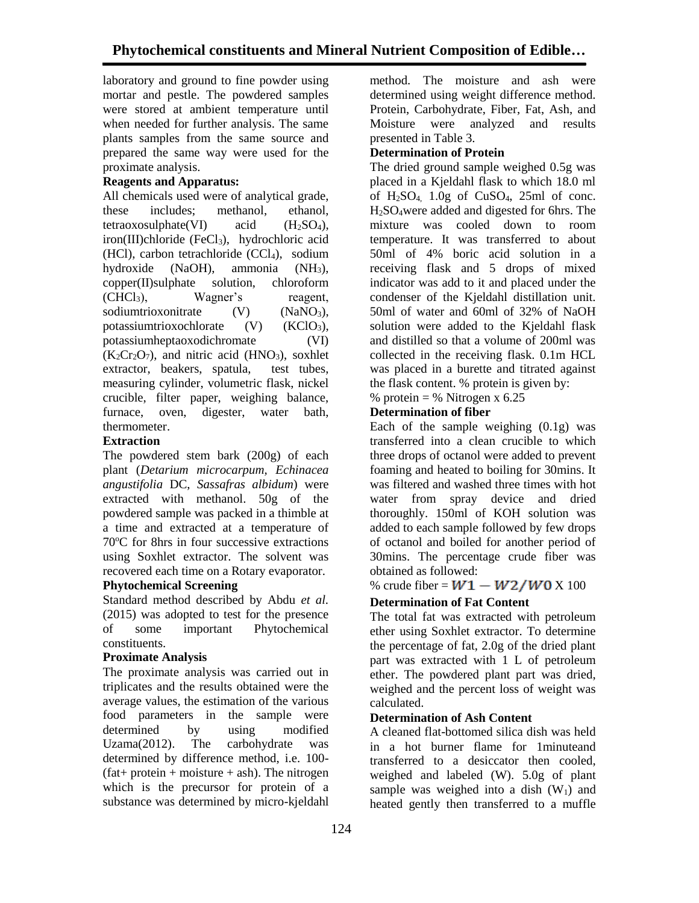laboratory and ground to fine powder using mortar and pestle. The powdered samples were stored at ambient temperature until when needed for further analysis. The same plants samples from the same source and prepared the same way were used for the proximate analysis.

### **Reagents and Apparatus:**

All chemicals used were of analytical grade, these includes; methanol, ethanol, tetraoxosulphate(VI) acid  $(H_2SO_4)$ , iron(III)chloride (FeCl<sub>3</sub>), hydrochloric acid (HCl), carbon tetrachloride (CCl<sub>4</sub>), sodium hydroxide (NaOH), ammonia (NH3), copper(II)sulphate solution, chloroform (CHCl3), Wagner's reagent, sodiumtrioxonitrate  $(V)$   $(NaNO<sub>3</sub>)$ , potassiumtrioxochlorate (V) (KClO<sub>3</sub>), potassiumheptaoxodichromate (VI)  $(K<sub>2</sub>Cr<sub>2</sub>O<sub>7</sub>)$ , and nitric acid (HNO<sub>3</sub>), soxhlet extractor, beakers, spatula, test tubes, measuring cylinder, volumetric flask, nickel crucible, filter paper, weighing balance, furnace, oven, digester, water bath, thermometer.

### **Extraction**

The powdered stem bark (200g) of each plant (*Detarium microcarpum, Echinacea angustifolia* DC, *Sassafras albidum*) were extracted with methanol. 50g of the powdered sample was packed in a thimble at a time and extracted at a temperature of 70<sup>o</sup>C for 8hrs in four successive extractions using Soxhlet extractor. The solvent was recovered each time on a Rotary evaporator.

### **Phytochemical Screening**

Standard method described by Abdu *et al.* (2015) was adopted to test for the presence of some important Phytochemical constituents.

### **Proximate Analysis**

The proximate analysis was carried out in triplicates and the results obtained were the average values, the estimation of the various food parameters in the sample were determined by using modified Uzama(2012). The carbohydrate was determined by difference method, i.e. 100-  $(fat+ protein + moisture + ash)$ . The nitrogen which is the precursor for protein of a substance was determined by micro-kjeldahl

method. The moisture and ash were determined using weight difference method. Protein, Carbohydrate, Fiber, Fat, Ash, and Moisture were analyzed and results presented in Table 3.

### **Determination of Protein**

The dried ground sample weighed 0.5g was placed in a Kjeldahl flask to which 18.0 ml of  $H_2SO_4$  1.0g of CuSO<sub>4</sub>, 25ml of conc. H2SO4were added and digested for 6hrs. The mixture was cooled down to room temperature. It was transferred to about 50ml of 4% boric acid solution in a receiving flask and 5 drops of mixed indicator was add to it and placed under the condenser of the Kjeldahl distillation unit. 50ml of water and 60ml of 32% of NaOH solution were added to the Kjeldahl flask and distilled so that a volume of 200ml was collected in the receiving flask. 0.1m HCL was placed in a burette and titrated against the flask content. % protein is given by:

% protein = % Nitrogen x  $6.25$ 

### **Determination of fiber**

Each of the sample weighing  $(0.1g)$  was transferred into a clean crucible to which three drops of octanol were added to prevent foaming and heated to boiling for 30mins. It was filtered and washed three times with hot water from spray device and dried thoroughly. 150ml of KOH solution was added to each sample followed by few drops of octanol and boiled for another period of 30mins. The percentage crude fiber was obtained as followed:

## % crude fiber =  $W1 - W2/W0 X 100$

## **Determination of Fat Content**

The total fat was extracted with petroleum ether using Soxhlet extractor. To determine the percentage of fat, 2.0g of the dried plant part was extracted with 1 L of petroleum ether. The powdered plant part was dried, weighed and the percent loss of weight was calculated.

### **Determination of Ash Content**

A cleaned flat-bottomed silica dish was held in a hot burner flame for 1minuteand transferred to a desiccator then cooled, weighed and labeled (W). 5.0g of plant sample was weighed into a dish  $(W_1)$  and heated gently then transferred to a muffle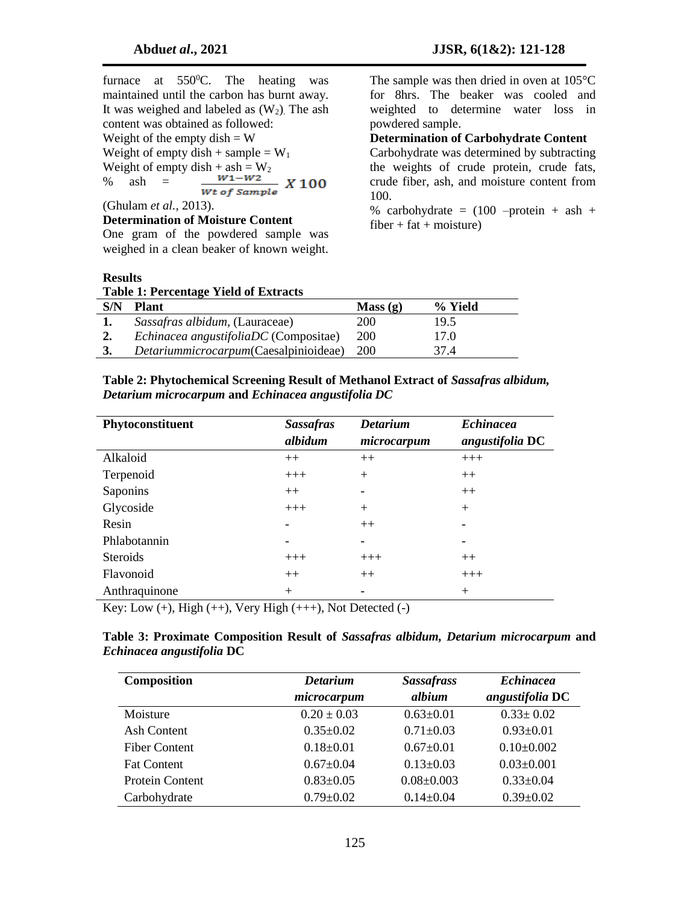furnace at  $550^{\circ}$ C. The heating was maintained until the carbon has burnt away. It was weighed and labeled as  $(W_2)$ . The ash content was obtained as followed: Weight of the empty dish  $=$  W Weight of empty dish + sample =  $W_1$ Weight of empty dish + ash =  $\frac{W_1 - W_2}{W_1 - W_2}$  X 100 % ash  $=$ (Ghulam *et al.,* 2013).

**Determination of Moisture Content**

One gram of the powdered sample was weighed in a clean beaker of known weight. The sample was then dried in oven at 105°C for 8hrs. The beaker was cooled and weighted to determine water loss in powdered sample.

**Determination of Carbohydrate Content**

Carbohydrate was determined by subtracting the weights of crude protein, crude fats, crude fiber, ash, and moisture content from 100.

% carbohydrate =  $(100 - protein + ash +$  $fiber + fat + moisture)$ 

### **Results**

|  |  |  | <b>Table 1: Percentage Yield of Extracts</b> |  |  |  |
|--|--|--|----------------------------------------------|--|--|--|
|--|--|--|----------------------------------------------|--|--|--|

|     | --------------                        |            |         |  |
|-----|---------------------------------------|------------|---------|--|
| S/N | <b>Plant</b>                          | Mass(g)    | % Yield |  |
|     | Sassafras albidum, (Lauraceae)        | 200        | 19.5    |  |
| 2.  | Echinacea angustifoliaDC (Compositae) | 200        | 17.0    |  |
|     | Detariummicrocarpum(Caesalpinioideae) | <b>200</b> | 37.4    |  |
|     |                                       |            |         |  |

| Table 2: Phytochemical Screening Result of Methanol Extract of Sassafras albidum, |
|-----------------------------------------------------------------------------------|
| Detarium microcarpum and Echinacea angustifolia DC                                |

| Phytoconstituent | <b>Sassafras</b> | <b>Detarium</b>              | <b>Echinacea</b> |
|------------------|------------------|------------------------------|------------------|
|                  | albidum          | microcarpum                  | angustifolia DC  |
| Alkaloid         | $++$             | $++$                         | $+++$            |
| Terpenoid        | $+++$            | $+$                          | $++$             |
| Saponins         | $++$             | $\qquad \qquad \blacksquare$ | $++$             |
| Glycoside        | $+++$            | $+$                          | $+$              |
| Resin            |                  | $++$                         |                  |
| Phlabotannin     |                  | $\qquad \qquad \blacksquare$ |                  |
| <b>Steroids</b>  | $+++$            | $+++$                        | $++$             |
| Flavonoid        | $++$             | $++$                         | $+++$            |
| Anthraquinone    | $^{+}$           | $\qquad \qquad$              | $^{+}$           |

Key: Low  $(+)$ , High  $(+)$ , Very High  $(+++)$ , Not Detected  $(-)$ 

#### **Table 3: Proximate Composition Result of** *Sassafras albidum, Detarium microcarpum* **and** *Echinacea angustifolia* **DC**

| <b>Composition</b>     | <b>Detarium</b><br>microcarpum | <b>Sassafrass</b><br>albium | <b>Echinacea</b><br>angustifolia DC |
|------------------------|--------------------------------|-----------------------------|-------------------------------------|
| Moisture               | $0.20 \pm 0.03$                | $0.63 \pm 0.01$             | $0.33 \pm 0.02$                     |
| Ash Content            | $0.35 \pm 0.02$                | $0.71 \pm 0.03$             | $0.93 \pm 0.01$                     |
| <b>Fiber Content</b>   | $0.18 \pm 0.01$                | $0.67 \pm 0.01$             | $0.10\pm0.002$                      |
| <b>Fat Content</b>     | $0.67 \pm 0.04$                | $0.13 \pm 0.03$             | $0.03 \pm 0.001$                    |
| <b>Protein Content</b> | $0.83 \pm 0.05$                | $0.08 \pm 0.003$            | $0.33 \pm 0.04$                     |
| Carbohydrate           | $0.79 \pm 0.02$                | $0.14 \pm 0.04$             | $0.39 \pm 0.02$                     |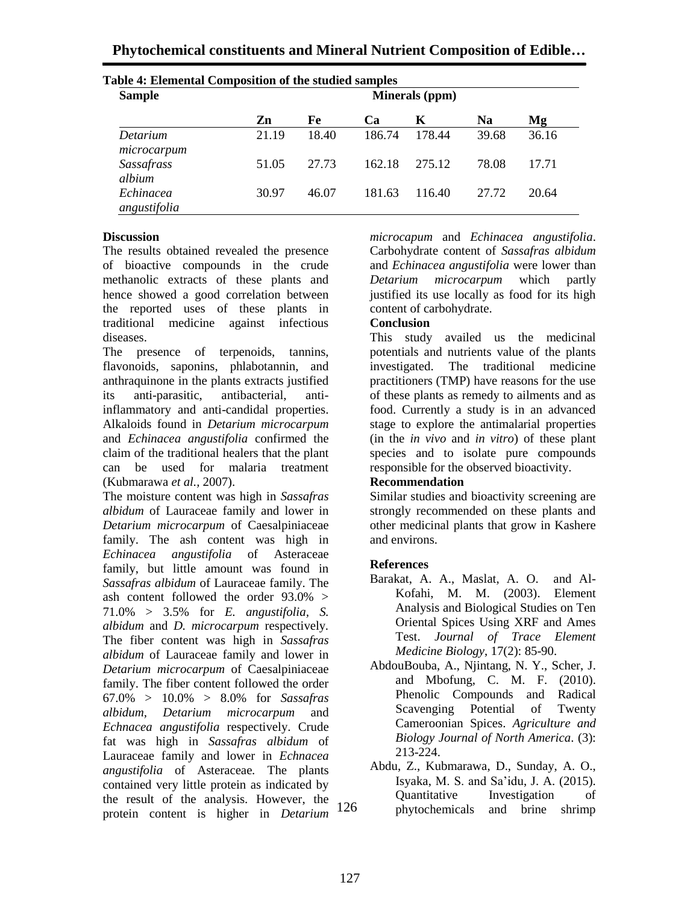| <b>Sample</b>               |       |       |        | Minerals (ppm) |           |       |
|-----------------------------|-------|-------|--------|----------------|-----------|-------|
|                             | Zn    | Fe    | Ca     | K              | <b>Na</b> | Mg    |
| Detarium<br>microcarpum     | 21.19 | 18.40 | 186.74 | 178.44         | 39.68     | 36.16 |
| <b>Sassafrass</b><br>albium | 51.05 | 27.73 | 162.18 | 275.12         | 78.08     | 17.71 |
| Echinacea<br>angustifolia   | 30.97 | 46.07 | 181.63 | 116.40         | 27.72     | 20.64 |

# **Table 4: Elemental Composition of the studied**

#### **Discussion**

The results obtained revealed the presence of bioactive compounds in the crude methanolic extracts of these plants and hence showed a good correlation between the reported uses of these plants in traditional medicine against infectious diseases.

The presence of terpenoids, tannins, flavonoids, saponins, phlabotannin, and anthraquinone in the plants extracts justified its anti-parasitic, antibacterial, antiinflammatory and anti-candidal properties. Alkaloids found in *Detarium microcarpum* and *Echinacea angustifolia* confirmed the claim of the traditional healers that the plant can be used for malaria treatment (Kubmarawa *et al.,* 2007).

The moisture content was high in *Sassafras albidum* of Lauraceae family and lower in *Detarium microcarpum* of Caesalpiniaceae family. The ash content was high in *Echinacea angustifolia* of Asteraceae family, but little amount was found in *Sassafras albidum* of Lauraceae family. The ash content followed the order 93.0% > 71.0% > 3.5% for *E. angustifolia, S. albidum* and *D. microcarpum* respectively*.*  The fiber content was high in *Sassafras albidum* of Lauraceae family and lower in *Detarium microcarpum* of Caesalpiniaceae family. The fiber content followed the order 67.0% > 10.0% > 8.0% for *Sassafras albidum, Detarium microcarpum* and *Echnacea angustifolia* respectively. Crude fat was high in *Sassafras albidum* of Lauraceae family and lower in *Echnacea angustifolia* of Asteraceae*.* The plants contained very little protein as indicated by the result of the analysis. However, the protein content is higher in *Detarium* 126

*microcapum* and *Echinacea angustifolia*. Carbohydrate content of *Sassafras albidum* and *Echinacea angustifolia* were lower than *Detarium microcarpum* which partly justified its use locally as food for its high content of carbohydrate.

### **Conclusion**

This study availed us the medicinal potentials and nutrients value of the plants investigated. The traditional medicine practitioners (TMP) have reasons for the use of these plants as remedy to ailments and as food. Currently a study is in an advanced stage to explore the antimalarial properties (in the *in vivo* and *in vitro*) of these plant species and to isolate pure compounds responsible for the observed bioactivity.

### **Recommendation**

Similar studies and bioactivity screening are strongly recommended on these plants and other medicinal plants that grow in Kashere and environs.

### **References**

- Barakat, A. A., Maslat, A. O. and Al-Kofahi, M. M. (2003). Element Analysis and Biological Studies on Ten Oriental Spices Using XRF and Ames Test. *Journal of Trace Element Medicine Biology*, 17(2): 85-90.
- AbdouBouba, A., Njintang, N. Y., Scher, J. and Mbofung, C. M. F. (2010). Phenolic Compounds and Radical Scavenging Potential of Twenty Cameroonian Spices. *Agriculture and Biology Journal of North America*. (3): 213-224.
- Abdu, Z., Kubmarawa, D., Sunday, A. O., Isyaka, M. S. and Sa'idu, J. A. (2015). Quantitative Investigation of phytochemicals and brine shrimp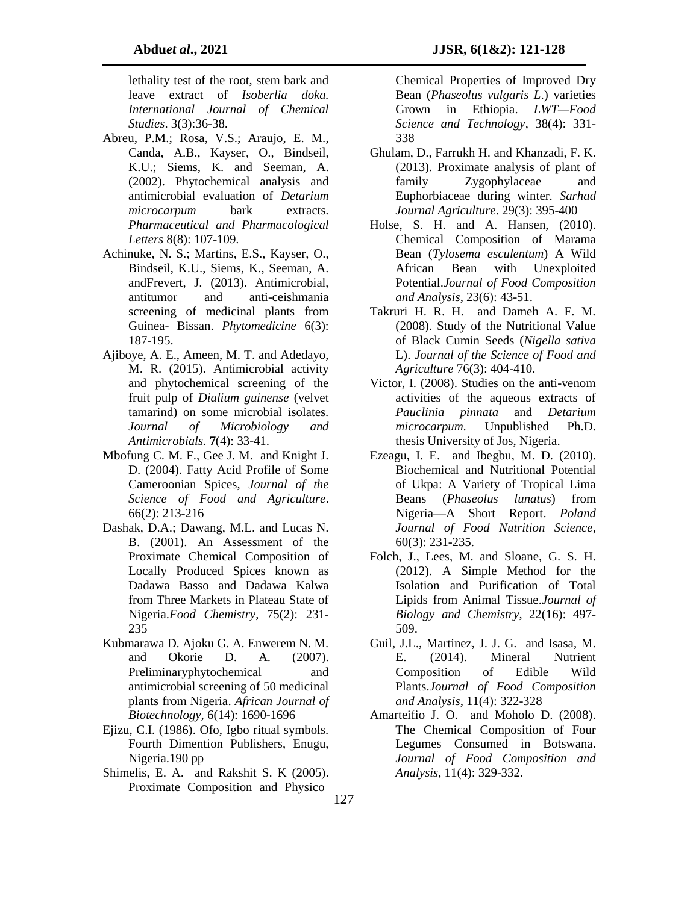lethality test of the root, stem bark and leave extract of *Isoberlia doka. International Journal of Chemical Studies*. 3(3):36-38.

- Abreu, P.M.; Rosa, V.S.; Araujo, E. M., Canda, A.B., Kayser, O., Bindseil, K.U.; Siems, K. and Seeman, A. (2002). Phytochemical analysis and antimicrobial evaluation of *Detarium microcarpum* bark extracts. *Pharmaceutical and Pharmacological Letters* 8(8): 107-109.
- Achinuke, N. S.; Martins, E.S., Kayser, O., Bindseil, K.U., Siems, K., Seeman, A. andFrevert, J. (2013). Antimicrobial, antitumor and anti-ceishmania screening of medicinal plants from Guinea- Bissan. *Phytomedicine* 6(3): 187-195.
- Ajiboye, A. E., Ameen, M. T. and Adedayo, M. R. (2015). Antimicrobial activity and phytochemical screening of the fruit pulp of *Dialium guinense* (velvet tamarind) on some microbial isolates. *Journal of Microbiology and Antimicrobials.* **7**(4): 33-41.
- Mbofung C. M. F., Gee J. M. and Knight J. D. (2004). Fatty Acid Profile of Some Cameroonian Spices, *Journal of the Science of Food and Agriculture*. 66(2): 213-216
- Dashak, D.A.; Dawang, M.L. and Lucas N. B. (2001). An Assessment of the Proximate Chemical Composition of Locally Produced Spices known as Dadawa Basso and Dadawa Kalwa from Three Markets in Plateau State of Nigeria.*Food Chemistry*, 75(2): 231- 235
- Kubmarawa D. Ajoku G. A. Enwerem N. M. and Okorie D. A. (2007). Preliminaryphytochemical and antimicrobial screening of 50 medicinal plants from Nigeria. *African Journal of Biotechnology,* 6(14): 1690-1696
- Ejizu, C.I. (1986). Ofo, Igbo ritual symbols. Fourth Dimention Publishers, Enugu, Nigeria.190 pp
- Shimelis, E. A. and Rakshit S. K (2005). Proximate Composition and Physico-127

Chemical Properties of Improved Dry Bean (*Phaseolus vulgaris L*.) varieties Grown in Ethiopia. *LWT—Food Science and Technology*, 38(4): 331- 338

- Ghulam, D., Farrukh H. and Khanzadi, F. K. (2013). Proximate analysis of plant of family Zygophylaceae and Euphorbiaceae during winter. *Sarhad Journal Agriculture*. 29(3): 395-400
- Holse, S. H. and A. Hansen, (2010). Chemical Composition of Marama Bean (*Tylosema esculentum*) A Wild African Bean with Unexploited Potential.*Journal of Food Composition and Analysis*, 23(6): 43-51.
- Takruri H. R. H. and Dameh A. F. M. (2008). Study of the Nutritional Value of Black Cumin Seeds (*Nigella sativa*  L). *Journal of the Science of Food and Agriculture* 76(3): 404-410.
- Victor, I. (2008). Studies on the anti-venom activities of the aqueous extracts of *Pauclinia pinnata* and *Detarium microcarpum.* Unpublished Ph.D. thesis University of Jos, Nigeria.
- Ezeagu, I. E. and Ibegbu, M. D. (2010). Biochemical and Nutritional Potential of Ukpa: A Variety of Tropical Lima Beans (*Phaseolus lunatus*) from Nigeria—A Short Report. *Poland Journal of Food Nutrition Science*, 60(3): 231-235.
- Folch, J., Lees, M. and Sloane, G. S. H. (2012). A Simple Method for the Isolation and Purification of Total Lipids from Animal Tissue.*Journal of Biology and Chemistry*, 22(16): 497- 509.
- Guil, J.L., Martinez, J. J. G. and Isasa, M. E. (2014). Mineral Nutrient Composition of Edible Wild Plants.*Journal of Food Composition and Analysis*, 11(4): 322-328
- Amarteifio J. O. and Moholo D. (2008). The Chemical Composition of Four Legumes Consumed in Botswana. *Journal of Food Composition and Analysis*, 11(4): 329-332.